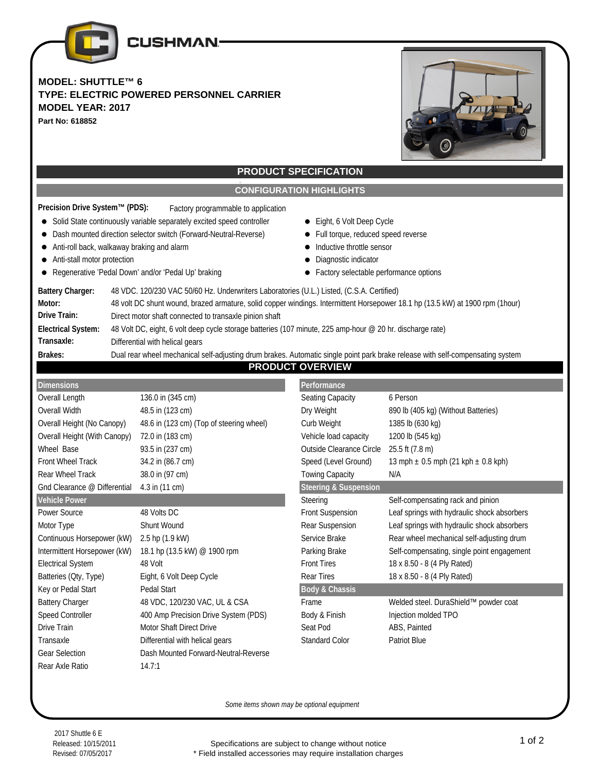

## **MODEL: SHUTTLE™ 6 TYPE: ELECTRIC POWERED PERSONNEL CARRIER MODEL YEAR: 2017 Part No: 618852**



# **PRODUCT SPECIFICATION**

## **CONFIGURATION HIGHLIGHTS**

| Precision Drive System™ (PDS): | Factory programmable to application |
|--------------------------------|-------------------------------------|
|                                |                                     |

- Solid State continuously variable separately excited speed controller Eight, 6 Volt Deep Cycle
- Dash mounted direction selector switch (Forward-Neutral-Reverse) Full torque, reduced speed reverse
- Anti-roll back, walkaway braking and alarm **Inductive throtte** sensor
- Anti-stall motor protection Diagnostic indicator
- Regenerative 'Pedal Down' and/or 'Pedal Up' braking **Factory selectable performance options**
- 
- 
- 
- -

| <b>Battery Charger:</b>   | 48 VDC. 120/230 VAC 50/60 Hz. Underwriters Laboratories (U.L.) Listed, (C.S.A. Certified)                                      |
|---------------------------|--------------------------------------------------------------------------------------------------------------------------------|
| Motor:                    | 48 volt DC shunt wound, brazed armature, solid copper windings. Intermittent Horsepower 18.1 hp (13.5 kW) at 1900 rpm (1hour)  |
| Drive Train:              | Direct motor shaft connected to transaxle pinion shaft                                                                         |
| <b>Electrical System:</b> | 48 Volt DC, eight, 6 volt deep cycle storage batteries (107 minute, 225 amp-hour @ 20 hr. discharge rate)                      |
| Transaxle:                | Differential with helical gears                                                                                                |
| Brakes:                   | Dual rear wheel mechanical self-adjusting drum brakes. Automatic single point park brake release with self-compensating system |

### **PRODUCT OVERVIEW**

| <b>Dimensions</b>                              |                                          | Performance                      |                                             |  |  |
|------------------------------------------------|------------------------------------------|----------------------------------|---------------------------------------------|--|--|
| Overall Length                                 | 136.0 in (345 cm)                        | Seating Capacity                 | 6 Person                                    |  |  |
| Overall Width                                  | 48.5 in (123 cm)                         | Dry Weight                       | 890 lb (405 kg) (Without Batteries)         |  |  |
| Overall Height (No Canopy)                     | 48.6 in (123 cm) (Top of steering wheel) | Curb Weight                      | 1385 lb (630 kg)                            |  |  |
| Overall Height (With Canopy)                   | 72.0 in (183 cm)                         | Vehicle load capacity            | 1200 lb (545 kg)                            |  |  |
| Wheel Base                                     | 93.5 in (237 cm)                         | <b>Outside Clearance Circle</b>  | 25.5 ft (7.8 m)                             |  |  |
| <b>Front Wheel Track</b>                       | 34.2 in (86.7 cm)                        | Speed (Level Ground)             | 13 mph $\pm$ 0.5 mph (21 kph $\pm$ 0.8 kph) |  |  |
| Rear Wheel Track                               | 38.0 in (97 cm)                          | <b>Towing Capacity</b>           | N/A                                         |  |  |
| 4.3 in (11 cm)<br>Gnd Clearance @ Differential |                                          | <b>Steering &amp; Suspension</b> |                                             |  |  |
| <b>Vehicle Power</b>                           |                                          | Steering                         | Self-compensating rack and pinion           |  |  |
| Power Source                                   | 48 Volts DC                              | <b>Front Suspension</b>          | Leaf springs with hydraulic shock absorbers |  |  |
| Motor Type                                     | Shunt Wound                              | Rear Suspension                  | Leaf springs with hydraulic shock absorbers |  |  |
| Continuous Horsepower (kW)                     | 2.5 hp (1.9 kW)                          | Service Brake                    | Rear wheel mechanical self-adjusting drum   |  |  |
| Intermittent Horsepower (kW)                   | 18.1 hp (13.5 kW) @ 1900 rpm             | Parking Brake                    | Self-compensating, single point engagement  |  |  |
| <b>Electrical System</b>                       | 48 Volt                                  | <b>Front Tires</b>               | 18 x 8.50 - 8 (4 Ply Rated)                 |  |  |
| Batteries (Oty, Type)                          | Eight, 6 Volt Deep Cycle                 | <b>Rear Tires</b>                | 18 x 8.50 - 8 (4 Ply Rated)                 |  |  |
| Key or Pedal Start                             | Pedal Start                              |                                  | <b>Body &amp; Chassis</b>                   |  |  |
| <b>Battery Charger</b>                         | 48 VDC, 120/230 VAC, UL & CSA            | Frame                            | Welded steel. DuraShield™ powder coat       |  |  |
| Speed Controller                               | 400 Amp Precision Drive System (PDS)     | Body & Finish                    | Injection molded TPO                        |  |  |
| Drive Train                                    | <b>Motor Shaft Direct Drive</b>          | Seat Pod                         | ABS, Painted                                |  |  |
| Transaxle                                      | Differential with helical gears          | <b>Standard Color</b>            | <b>Patriot Blue</b>                         |  |  |
| <b>Gear Selection</b>                          | Dash Mounted Forward-Neutral-Reverse     |                                  |                                             |  |  |
| Rear Axle Ratio                                | 14.7:1                                   |                                  |                                             |  |  |

*Some items shown may be optional equipment*